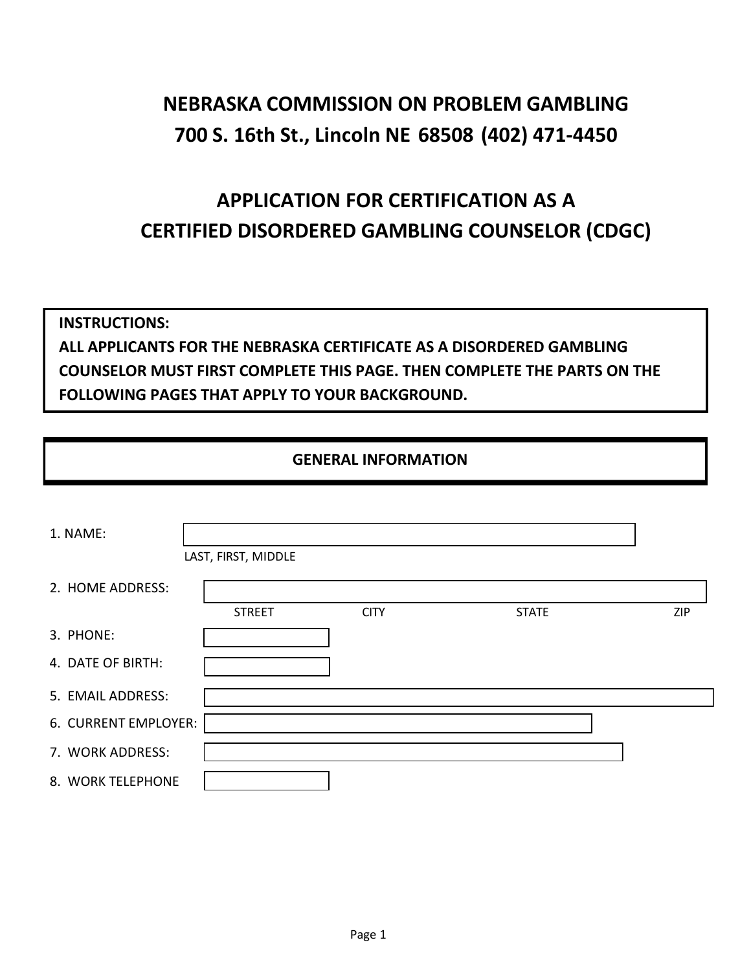# **NEBRASKA COMMISSION ON PROBLEM GAMBLING 700 S. 16th St., Lincoln NE 68508 (402) 471-4450**

# **APPLICATION FOR CERTIFICATION AS A CERTIFIED DISORDERED GAMBLING COUNSELOR (CDGC)**

## **INSTRUCTIONS: ALL APPLICANTS FOR THE NEBRASKA CERTIFICATE AS A DISORDERED GAMBLING COUNSELOR MUST FIRST COMPLETE THIS PAGE. THEN COMPLETE THE PARTS ON THE FOLLOWING PAGES THAT APPLY TO YOUR BACKGROUND.**

## **GENERAL INFORMATION**

| 1. NAME:             | LAST, FIRST, MIDDLE |             |              |     |
|----------------------|---------------------|-------------|--------------|-----|
| 2. HOME ADDRESS:     | <b>STREET</b>       | <b>CITY</b> | <b>STATE</b> | ZIP |
| 3. PHONE:            |                     |             |              |     |
| 4. DATE OF BIRTH:    |                     |             |              |     |
| 5. EMAIL ADDRESS:    |                     |             |              |     |
| 6. CURRENT EMPLOYER: |                     |             |              |     |
| 7. WORK ADDRESS:     |                     |             |              |     |
| 8. WORK TELEPHONE    |                     |             |              |     |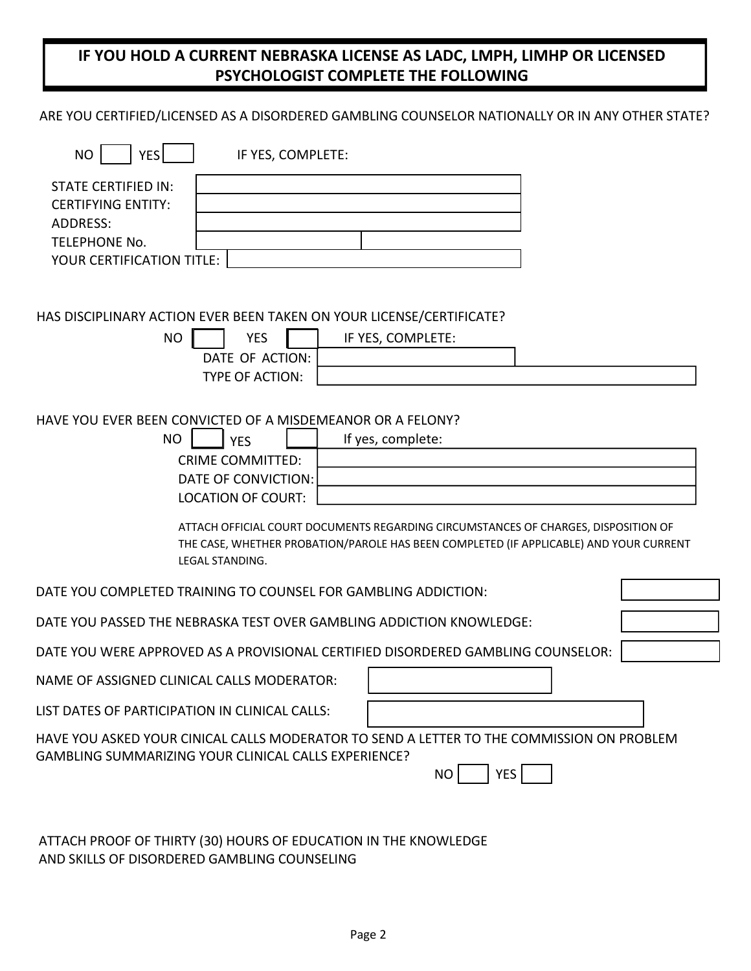### **IF YOU HOLD A CURRENT NEBRASKA LICENSE AS LADC, LMPH, LIMHP OR LICENSED PSYCHOLOGIST COMPLETE THE FOLLOWING**

#### ARE YOU CERTIFIED/LICENSED AS A DISORDERED GAMBLING COUNSELOR NATIONALLY OR IN ANY OTHER STATE?

| <b>YES</b><br><b>NO</b><br>IF YES, COMPLETE:                                                                                                                                                                                                                                                                                                                                                 |  |
|----------------------------------------------------------------------------------------------------------------------------------------------------------------------------------------------------------------------------------------------------------------------------------------------------------------------------------------------------------------------------------------------|--|
| <b>STATE CERTIFIED IN:</b><br><b>CERTIFYING ENTITY:</b><br><b>ADDRESS:</b><br>TELEPHONE No.<br>YOUR CERTIFICATION TITLE:                                                                                                                                                                                                                                                                     |  |
| HAS DISCIPLINARY ACTION EVER BEEN TAKEN ON YOUR LICENSE/CERTIFICATE?<br><b>NO</b><br><b>YES</b><br>IF YES, COMPLETE:<br>DATE OF ACTION:<br>TYPE OF ACTION:                                                                                                                                                                                                                                   |  |
| HAVE YOU EVER BEEN CONVICTED OF A MISDEMEANOR OR A FELONY?<br><b>NO</b><br>If yes, complete:<br><b>YES</b><br><b>CRIME COMMITTED:</b><br>DATE OF CONVICTION:<br><b>LOCATION OF COURT:</b><br>ATTACH OFFICIAL COURT DOCUMENTS REGARDING CIRCUMSTANCES OF CHARGES, DISPOSITION OF<br>THE CASE, WHETHER PROBATION/PAROLE HAS BEEN COMPLETED (IF APPLICABLE) AND YOUR CURRENT<br>LEGAL STANDING. |  |
| DATE YOU COMPLETED TRAINING TO COUNSEL FOR GAMBLING ADDICTION:                                                                                                                                                                                                                                                                                                                               |  |
| DATE YOU PASSED THE NEBRASKA TEST OVER GAMBLING ADDICTION KNOWLEDGE:                                                                                                                                                                                                                                                                                                                         |  |
| DATE YOU WERE APPROVED AS A PROVISIONAL CERTIFIED DISORDERED GAMBLING COUNSELOR:                                                                                                                                                                                                                                                                                                             |  |
| NAME OF ASSIGNED CLINICAL CALLS MODERATOR:                                                                                                                                                                                                                                                                                                                                                   |  |
| LIST DATES OF PARTICIPATION IN CLINICAL CALLS:                                                                                                                                                                                                                                                                                                                                               |  |
| HAVE YOU ASKED YOUR CINICAL CALLS MODERATOR TO SEND A LETTER TO THE COMMISSION ON PROBLEM<br>GAMBLING SUMMARIZING YOUR CLINICAL CALLS EXPERIENCE?<br>YES<br>NO                                                                                                                                                                                                                               |  |
| ATTACH PROOF OF THIRTY (30) HOURS OF EDUCATION IN THE KNOWLEDGE                                                                                                                                                                                                                                                                                                                              |  |

AND SKILLS OF DISORDERED GAMBLING COUNSELING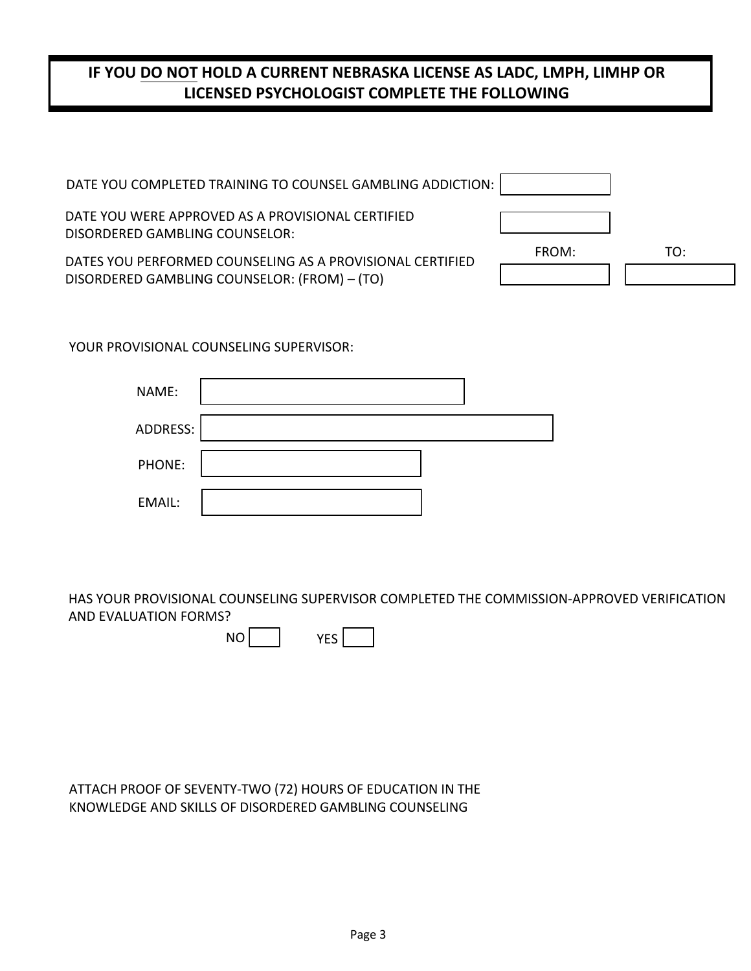### **IF YOU DO NOT HOLD A CURRENT NEBRASKA LICENSE AS LADC, LMPH, LIMHP OR LICENSED PSYCHOLOGIST COMPLETE THE FOLLOWING**

| DATE YOU COMPLETED TRAINING TO COUNSEL GAMBLING ADDICTION:                          |       |     |
|-------------------------------------------------------------------------------------|-------|-----|
| DATE YOU WERE APPROVED AS A PROVISIONAL CERTIFIED<br>DISORDERED GAMBLING COUNSELOR: |       |     |
| DATES YOU PERFORMED COUNSELING AS A PROVISIONAL CERTIFIED                           | FROM: | TO: |
| DISORDERED GAMBLING COUNSELOR: (FROM) - (TO)                                        |       |     |

YOUR PROVISIONAL COUNSELING SUPERVISOR:

| NAME:    |  |
|----------|--|
| ADDRESS: |  |
| PHONE:   |  |
| EMAIL:   |  |

HAS YOUR PROVISIONAL COUNSELING SUPERVISOR COMPLETED THE COMMISSION-APPROVED VERIFICATION AND EVALUATION FORMS?

| NO | vrc |
|----|-----|
|    |     |

ATTACH PROOF OF SEVENTY-TWO (72) HOURS OF EDUCATION IN THE KNOWLEDGE AND SKILLS OF DISORDERED GAMBLING COUNSELING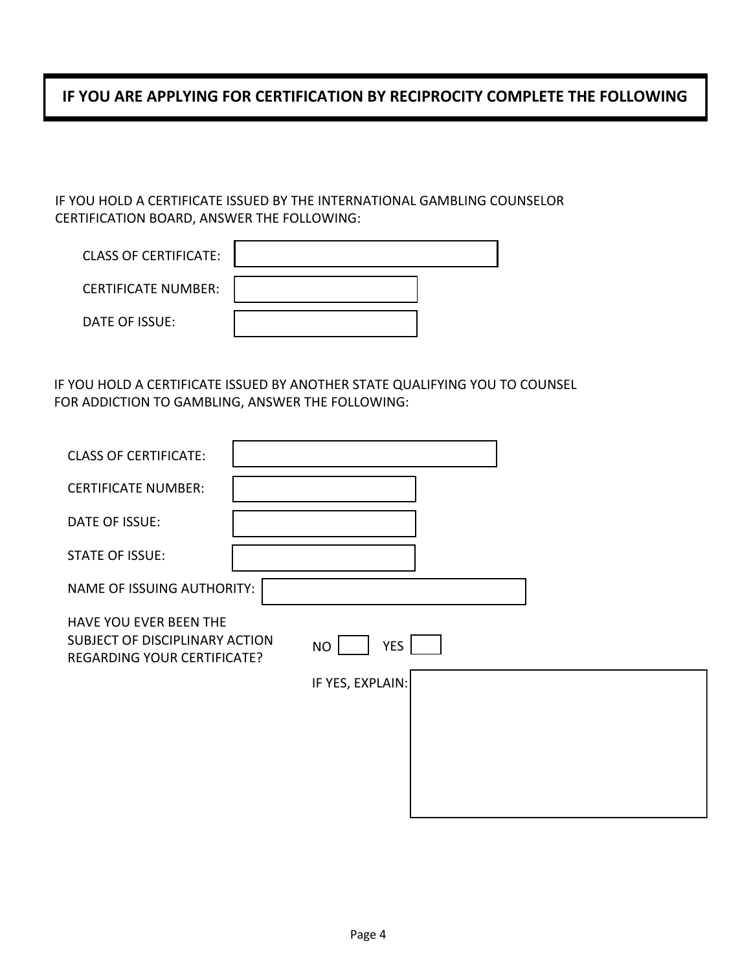## **IF YOU ARE APPLYING FOR CERTIFICATION BY RECIPROCITY COMPLETE THE FOLLOWING**

IF YOU HOLD A CERTIFICATE ISSUED BY THE INTERNATIONAL GAMBLING COUNSELOR CERTIFICATION BOARD, ANSWER THE FOLLOWING:

| <b>CLASS OF CERTIFICATE:</b> |  |
|------------------------------|--|
| <b>CERTIFICATE NUMBER:</b>   |  |
| DATE OF ISSUE:               |  |

IF YOU HOLD A CERTIFICATE ISSUED BY ANOTHER STATE QUALIFYING YOU TO COUNSEL FOR ADDICTION TO GAMBLING, ANSWER THE FOLLOWING:

| <b>CLASS OF CERTIFICATE:</b>                                                                                             |
|--------------------------------------------------------------------------------------------------------------------------|
| <b>CERTIFICATE NUMBER:</b>                                                                                               |
| DATE OF ISSUE:                                                                                                           |
| <b>STATE OF ISSUE:</b>                                                                                                   |
| NAME OF ISSUING AUTHORITY:                                                                                               |
| HAVE YOU EVER BEEN THE<br>SUBJECT OF DISCIPLINARY ACTION<br>YES <sup>1</sup><br>NO<br><b>REGARDING YOUR CERTIFICATE?</b> |
| IF YES, EXPLAIN:                                                                                                         |
|                                                                                                                          |
|                                                                                                                          |
|                                                                                                                          |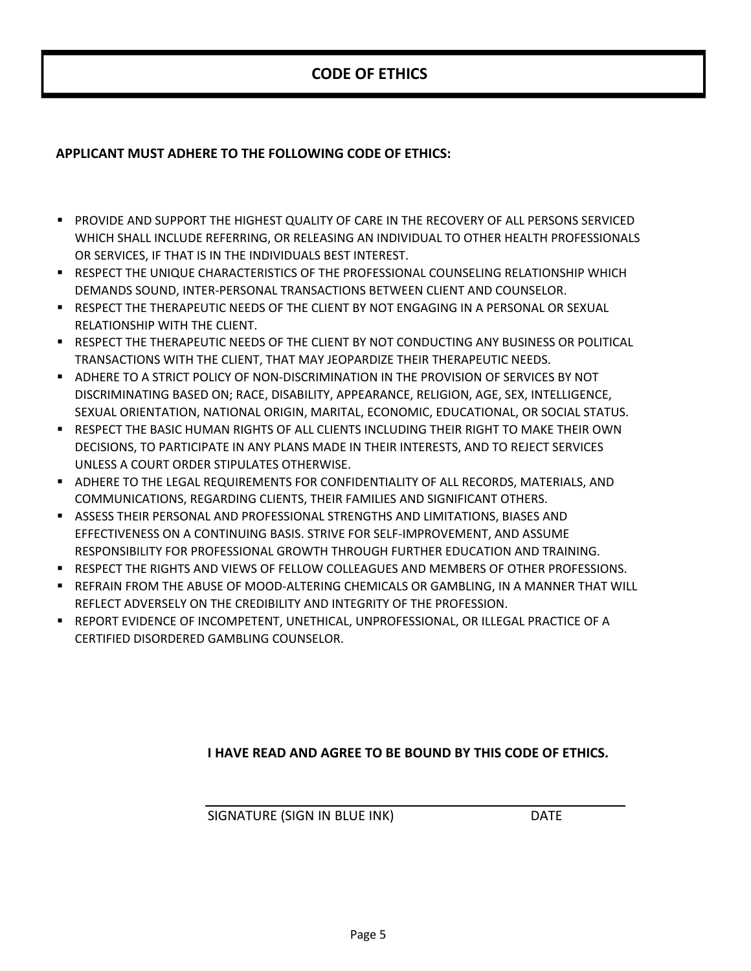#### **CODE OF ETHICS**

#### **APPLICANT MUST ADHERE TO THE FOLLOWING CODE OF ETHICS:**

- **PROVIDE AND SUPPORT THE HIGHEST QUALITY OF CARE IN THE RECOVERY OF ALL PERSONS SERVICED** WHICH SHALL INCLUDE REFERRING, OR RELEASING AN INDIVIDUAL TO OTHER HEALTH PROFESSIONALS OR SERVICES, IF THAT IS IN THE INDIVIDUALS BEST INTEREST.
- **RESPECT THE UNIQUE CHARACTERISTICS OF THE PROFESSIONAL COUNSELING RELATIONSHIP WHICH** DEMANDS SOUND, INTER-PERSONAL TRANSACTIONS BETWEEN CLIENT AND COUNSELOR.
- **RESPECT THE THERAPEUTIC NEEDS OF THE CLIENT BY NOT ENGAGING IN A PERSONAL OR SEXUAL** RELATIONSHIP WITH THE CLIENT.
- **RESPECT THE THERAPEUTIC NEEDS OF THE CLIENT BY NOT CONDUCTING ANY BUSINESS OR POLITICAL** TRANSACTIONS WITH THE CLIENT, THAT MAY JEOPARDIZE THEIR THERAPEUTIC NEEDS.
- **ADHERE TO A STRICT POLICY OF NON-DISCRIMINATION IN THE PROVISION OF SERVICES BY NOT** DISCRIMINATING BASED ON; RACE, DISABILITY, APPEARANCE, RELIGION, AGE, SEX, INTELLIGENCE, SEXUAL ORIENTATION, NATIONAL ORIGIN, MARITAL, ECONOMIC, EDUCATIONAL, OR SOCIAL STATUS.
- **RESPECT THE BASIC HUMAN RIGHTS OF ALL CLIENTS INCLUDING THEIR RIGHT TO MAKE THEIR OWN** DECISIONS, TO PARTICIPATE IN ANY PLANS MADE IN THEIR INTERESTS, AND TO REJECT SERVICES UNLESS A COURT ORDER STIPULATES OTHERWISE.
- **ADHERE TO THE LEGAL REQUIREMENTS FOR CONFIDENTIALITY OF ALL RECORDS, MATERIALS, AND** COMMUNICATIONS, REGARDING CLIENTS, THEIR FAMILIES AND SIGNIFICANT OTHERS.
- ASSESS THEIR PERSONAL AND PROFESSIONAL STRENGTHS AND LIMITATIONS, BIASES AND EFFECTIVENESS ON A CONTINUING BASIS. STRIVE FOR SELF-IMPROVEMENT, AND ASSUME RESPONSIBILITY FOR PROFESSIONAL GROWTH THROUGH FURTHER EDUCATION AND TRAINING.
- **RESPECT THE RIGHTS AND VIEWS OF FELLOW COLLEAGUES AND MEMBERS OF OTHER PROFESSIONS.**
- **REFRAIN FROM THE ABUSE OF MOOD-ALTERING CHEMICALS OR GAMBLING. IN A MANNER THAT WILL** REFLECT ADVERSELY ON THE CREDIBILITY AND INTEGRITY OF THE PROFESSION.
- **REPORT EVIDENCE OF INCOMPETENT, UNETHICAL, UNPROFESSIONAL, OR ILLEGAL PRACTICE OF A** CERTIFIED DISORDERED GAMBLING COUNSELOR.

#### **I HAVE READ AND AGREE TO BE BOUND BY THIS CODE OF ETHICS.**

#### SIGNATURE (SIGN IN BLUE INK) DATE